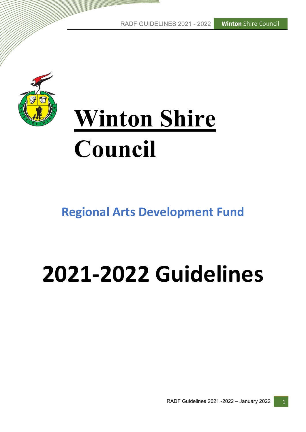**Winton** Shire Council RADF GUIDELINES 2021 - 2022



# Winton Shire Council

# Regional Arts Development Fund

# 2021-2022 Guidelines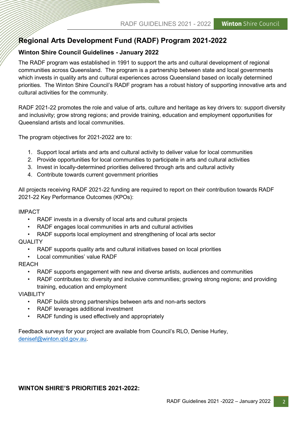# Regional Arts Development Fund (RADF) Program 2021-2022

# Winton Shire Council Guidelines - January 2022

The RADF program was established in 1991 to support the arts and cultural development of regional communities across Queensland. The program is a partnership between state and local governments which invests in quality arts and cultural experiences across Queensland based on locally determined priorities. The Winton Shire Council's RADF program has a robust history of supporting innovative arts and cultural activities for the community.

RADF 2021-22 promotes the role and value of arts, culture and heritage as key drivers to: support diversity and inclusivity; grow strong regions; and provide training, education and employment opportunities for Queensland artists and local communities.

The program objectives for 2021-2022 are to:

- 1. Support local artists and arts and cultural activity to deliver value for local communities
- 2. Provide opportunities for local communities to participate in arts and cultural activities
- 3. Invest in locally-determined priorities delivered through arts and cultural activity
- 4. Contribute towards current government priorities

All projects receiving RADF 2021-22 funding are required to report on their contribution towards RADF 2021-22 Key Performance Outcomes (KPOs):

#### IMPACT

- RADF invests in a diversity of local arts and cultural projects
- RADF engages local communities in arts and cultural activities
- RADF supports local employment and strengthening of local arts sector

#### **QUALITY**

- RADF supports quality arts and cultural initiatives based on local priorities
- Local communities' value RADF

#### **REACH**

- RADF supports engagement with new and diverse artists, audiences and communities
- RADF contributes to: diversity and inclusive communities; growing strong regions; and providing training, education and employment

#### VIABILITY

- RADF builds strong partnerships between arts and non-arts sectors
- RADF leverages additional investment
- RADF funding is used effectively and appropriately

Feedback surveys for your project are available from Council's RLO, Denise Hurley, denisef@winton.qld.gov.au.

#### WINTON SHIRE'S PRIORITIES 2021-2022: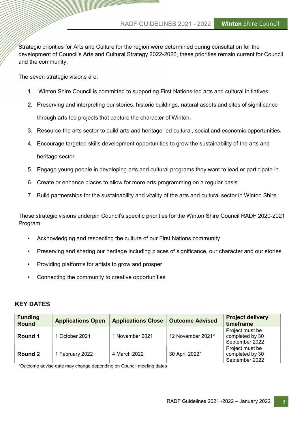Strategic priorities for Arts and Culture for the region were determined during consultation for the development of Council's Arts and Cultural Strategy 2022-2026, these priorities remain current for Council and the community.

The seven strategic visions are:

- 1. Winton Shire Council is committed to supporting First Nations-led arts and cultural initiatives.
- 2. Preserving and interpreting our stories, historic buildings, natural assets and sites of significance through arts-led projects that capture the character of Winton.
- 3. Resource the arts sector to build arts and heritage-led cultural, social and economic opportunities.
- 4. Encourage targeted skills development opportunities to grow the sustainability of the arts and heritage sector.
- 5. Engage young people in developing arts and cultural programs they want to lead or participate in.
- 6. Create or enhance places to allow for more arts programming on a regular basis.
- 7. Build partnerships for the sustainability and vitality of the arts and cultural sector in Winton Shire.

These strategic visions underpin Council's specific priorities for the Winton Shire Council RADF 2020-2021 Program:

- Acknowledging and respecting the culture of our First Nations community
- Preserving and sharing our heritage including places of significance, our character and our stories
- Providing platforms for artists to grow and prosper
- Connecting the community to creative opportunities

#### KEY DATES

| <b>Funding</b><br><b>Round</b> | <b>Applications Open</b> | <b>Applications Close</b> | <b>Outcome Advised</b> | <b>Project delivery</b><br>timeframe                 |
|--------------------------------|--------------------------|---------------------------|------------------------|------------------------------------------------------|
| Round 1                        | 1 October 2021           | 1 November 2021           | 12 November 2021*      | Project must be<br>completed by 30<br>September 2022 |
| Round 2                        | 1 February 2022          | 4 March 2022              | 30 April 2022*         | Project must be<br>completed by 30<br>September 2022 |

\*Outcome advise date may change depending on Council meeting dates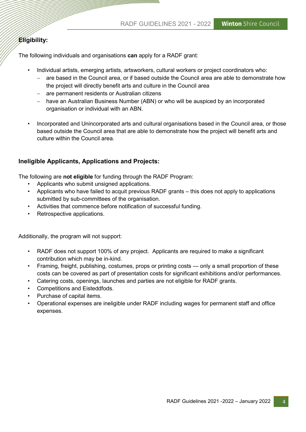# Eligibility:

The following individuals and organisations can apply for a RADF grant:

- Individual artists, emerging artists, artsworkers, cultural workers or project coordinators who:
	- are based in the Council area, or if based outside the Council area are able to demonstrate how the project will directly benefit arts and culture in the Council area
	- are permanent residents or Australian citizens
	- have an Australian Business Number (ABN) or who will be auspiced by an incorporated organisation or individual with an ABN.
- Incorporated and Unincorporated arts and cultural organisations based in the Council area, or those based outside the Council area that are able to demonstrate how the project will benefit arts and culture within the Council area.

# Ineligible Applicants, Applications and Projects:

The following are not eligible for funding through the RADF Program:

- Applicants who submit unsigned applications.
- Applicants who have failed to acquit previous RADF grants this does not apply to applications submitted by sub-committees of the organisation.
- Activities that commence before notification of successful funding.
- Retrospective applications.

Additionally, the program will not support:

- RADF does not support 100% of any project. Applicants are required to make a significant contribution which may be in-kind.
- Framing, freight, publishing, costumes, props or printing costs only a small proportion of these costs can be covered as part of presentation costs for significant exhibitions and/or performances.
- Catering costs, openings, launches and parties are not eligible for RADF grants.
- Competitions and Eisteddfods.
- Purchase of capital items.
- Operational expenses are ineligible under RADF including wages for permanent staff and office expenses.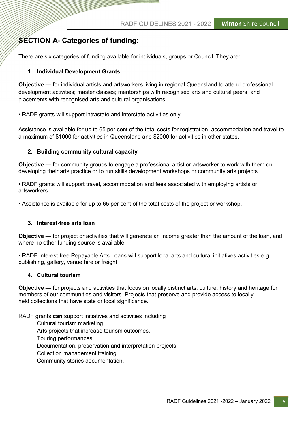# SECTION A- Categories of funding:

There are six categories of funding available for individuals, groups or Council. They are:

### 1. Individual Development Grants

Objective — for individual artists and artsworkers living in regional Queensland to attend professional development activities; master classes; mentorships with recognised arts and cultural peers; and placements with recognised arts and cultural organisations.

• RADF grants will support intrastate and interstate activities only.

Assistance is available for up to 65 per cent of the total costs for registration, accommodation and travel to a maximum of \$1000 for activities in Queensland and \$2000 for activities in other states.

#### 2. Building community cultural capacity

Objective — for community groups to engage a professional artist or artsworker to work with them on developing their arts practice or to run skills development workshops or community arts projects.

• RADF grants will support travel, accommodation and fees associated with employing artists or artsworkers.

• Assistance is available for up to 65 per cent of the total costs of the project or workshop.

#### 3. Interest-free arts loan

Objective — for project or activities that will generate an income greater than the amount of the loan, and where no other funding source is available.

• RADF Interest-free Repayable Arts Loans will support local arts and cultural initiatives activities e.g. publishing, gallery, venue hire or freight.

#### 4. Cultural tourism

Objective — for projects and activities that focus on locally distinct arts, culture, history and heritage for members of our communities and visitors. Projects that preserve and provide access to locally held collections that have state or local significance.

RADF grants can support initiatives and activities including

Cultural tourism marketing.

Arts projects that increase tourism outcomes.

Touring performances.

Documentation, preservation and interpretation projects.

Collection management training.

Community stories documentation.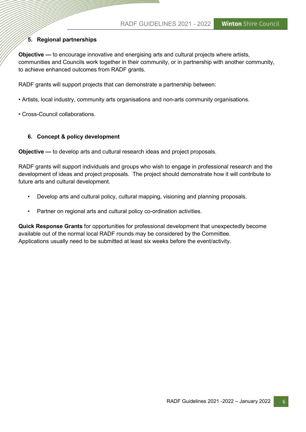# 5. Regional partnerships

Objective — to encourage innovative and energising arts and cultural projects where artists, communities and Councils work together in their community, or in partnership with another community, to achieve enhanced outcomes from RADF grants.

RADF grants will support projects that can demonstrate a partnership between:

- Artists, local industry, community arts organisations and non-arts community organisations.
- Cross-Council collaborations.

#### 6. Concept & policy development

Objective — to develop arts and cultural research ideas and project proposals.

RADF grants will support individuals and groups who wish to engage in professional research and the development of ideas and project proposals. The project should demonstrate how it will contribute to future arts and cultural development.

- Develop arts and cultural policy, cultural mapping, visioning and planning proposals.
- Partner on regional arts and cultural policy co-ordination activities.

Quick Response Grants for opportunities for professional development that unexpectedly become available out of the normal local RADF rounds may be considered by the Committee. Applications usually need to be submitted at least six weeks before the event/activity.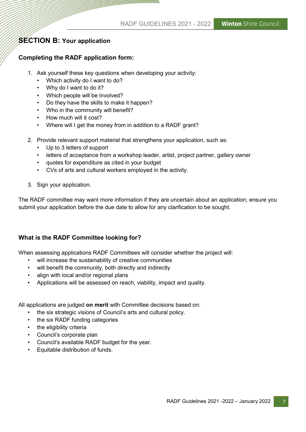# **SECTION B: Your application**

## Completing the RADF application form:

- 1. Ask yourself these key questions when developing your activity:
	- Which activity do I want to do?
	- Why do I want to do it?
	- Which people will be involved?
	- Do they have the skills to make it happen?
	- Who in the community will benefit?
	- How much will it cost?
	- Where will I get the money from in addition to a RADF grant?
- 2. Provide relevant support material that strengthens your application, such as:
	- Up to 3 letters of support
	- letters of acceptance from a workshop leader, artist, project partner, gallery owner
	- quotes for expenditure as cited in your budget
	- CVs of arts and cultural workers employed in the activity.
- 3. Sign your application.

The RADF committee may want more information if they are uncertain about an application; ensure you submit your application before the due date to allow for any clarification to be sought.

# What is the RADF Committee looking for?

When assessing applications RADF Committees will consider whether the project will:

- will increase the sustainability of creative communities
- will benefit the community, both directly and indirectly
- align with local and/or regional plans
- Applications will be assessed on reach, viability, impact and quality.

All applications are judged on merit with Committee decisions based on:

- the six strategic visions of Council's arts and cultural policy.
- the six RADF funding categories
- the eligibility criteria
- Council's corporate plan
- Council's available RADF budget for the year.
- Equitable distribution of funds.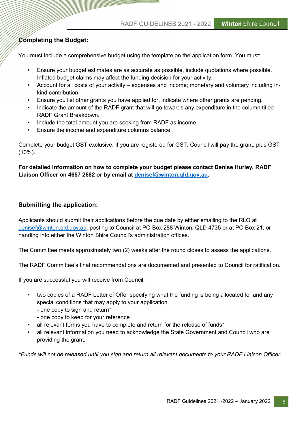# Completing the Budget:

You must include a comprehensive budget using the template on the application form. You must:

- Ensure your budget estimates are as accurate as possible, include quotations where possible. Inflated budget claims may affect the funding decision for your activity.
- Account for all costs of your activity expenses and income; monetary and voluntary including inkind contribution.
- Ensure you list other grants you have applied for, indicate where other grants are pending.
- Indicate the amount of the RADF grant that will go towards any expenditure in the column titled RADF Grant Breakdown.
- Include the total amount you are seeking from RADF as income.
- Ensure the income and expenditure columns balance.

Complete your budget GST exclusive. If you are registered for GST, Council will pay the grant, plus GST (10%).

For detailed information on how to complete your budget please contact Denise Hurley, RADF Liaison Officer on 4657 2682 or by email at denisef@winton.qld.gov.au.

# Submitting the application:

Applicants should submit their applications before the due date by either emailing to the RLO at denisef@winton.qld.gov.au, posting to Council at PO Box 288 Winton, QLD 4735 or at PO Box 21, or handing into either the Winton Shire Council's administration offices.

The Committee meets approximately two (2) weeks after the round closes to assess the applications.

The RADF Committee's final recommendations are documented and presented to Council for ratification.

If you are successful you will receive from Council:

- two copies of a RADF Letter of Offer specifying what the funding is being allocated for and any special conditions that may apply to your application
	- one copy to sign and return\*
	- one copy to keep for your reference
- all relevant forms you have to complete and return for the release of funds\*
- all relevant information you need to acknowledge the State Government and Council who are providing the grant.

\*Funds will not be released until you sign and return all relevant documents to your RADF Liaison Officer.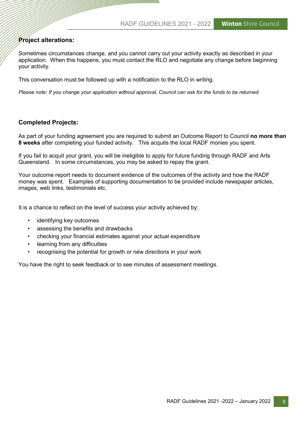# Project alterations:

Sometimes circumstances change, and you cannot carry out your activity exactly as described in your application. When this happens, you must contact the RLO and negotiate any change before beginning your activity.

This conversation must be followed up with a notification to the RLO in writing.

Please note: If you change your application without approval, Council can ask for the funds to be returned.

### Completed Projects:

As part of your funding agreement you are required to submit an Outcome Report to Council no more than 8 weeks after completing your funded activity. This acquits the local RADF monies you spent.

If you fail to acquit your grant, you will be ineligible to apply for future funding through RADF and Arts Queensland. In some circumstances, you may be asked to repay the grant.

Your outcome report needs to document evidence of the outcomes of the activity and how the RADF money was spent. Examples of supporting documentation to be provided include newspaper articles, images, web links, testimonials etc.

It is a chance to reflect on the level of success your activity achieved by:

- identifying key outcomes
- assessing the benefits and drawbacks
- checking your financial estimates against your actual expenditure
- learning from any difficulties
- recognising the potential for growth or new directions in your work

You have the right to seek feedback or to see minutes of assessment meetings.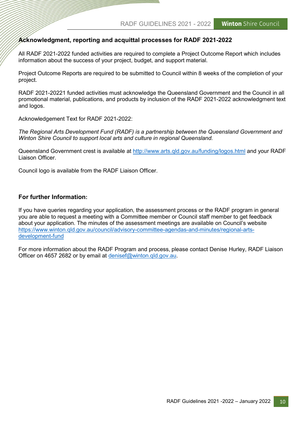#### Acknowledgment, reporting and acquittal processes for RADF 2021-2022

All RADF 2021-2022 funded activities are required to complete a Project Outcome Report which includes information about the success of your project, budget, and support material.

Project Outcome Reports are required to be submitted to Council within 8 weeks of the completion of your project.

RADF 2021-20221 funded activities must acknowledge the Queensland Government and the Council in all promotional material, publications, and products by inclusion of the RADF 2021-2022 acknowledgment text and logos.

Acknowledgement Text for RADF 2021-2022:

The Regional Arts Development Fund (RADF) is a partnership between the Queensland Government and Winton Shire Council to support local arts and culture in regional Queensland.

Queensland Government crest is available at http://www.arts.qld.gov.au/funding/logos.html and your RADF Liaison Officer.

Council logo is available from the RADF Liaison Officer.

#### For further Information:

If you have queries regarding your application, the assessment process or the RADF program in general you are able to request a meeting with a Committee member or Council staff member to get feedback about your application. The minutes of the assessment meetings are available on Council's website https://www.winton.qld.gov.au/council/advisory-committee-agendas-and-minutes/regional-artsdevelopment-fund

For more information about the RADF Program and process, please contact Denise Hurley, RADF Liaison Officer on 4657 2682 or by email at denisef@winton.qld.gov.au.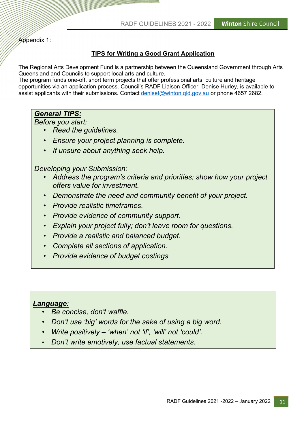Appendix 1:

# TIPS for Writing a Good Grant Application

The Regional Arts Development Fund is a partnership between the Queensland Government through Arts Queensland and Councils to support local arts and culture.

The program funds one-off, short term projects that offer professional arts, culture and heritage opportunities via an application process. Council's RADF Liaison Officer, Denise Hurley, is available to assist applicants with their submissions. Contact denisef@winton.qld.gov.au or phone 4657 2682.

# General TIPS:

Before you start:

- Read the guidelines.
- Ensure your project planning is complete.
- If unsure about anything seek help.

Developing your Submission:

- Address the program's criteria and priorities; show how your project offers value for investment.
- Demonstrate the need and community benefit of your project.
- Provide realistic timeframes.
- Provide evidence of community support.
- Explain your project fully; don't leave room for questions.
- Provide a realistic and balanced budget.
- Complete all sections of application.
- **Provide evidence of budget costings**

# Language:

- Be concise, don't waffle.
- Don't use 'big' words for the sake of using a big word.
- Write positively 'when' not 'if', 'will' not 'could'.
- Don't write emotively, use factual statements.